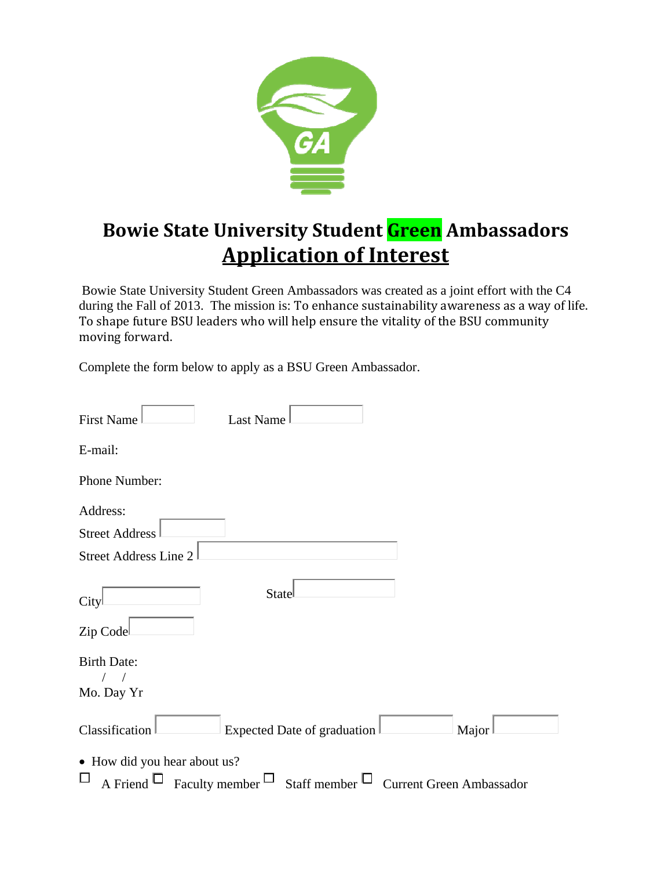

## **Bowie State University Student Green Ambassadors Application of Interest**

Bowie State University Student Green Ambassadors was created as a joint effort with the C4 during the Fall of 2013. The mission is: To enhance sustainability awareness as a way of life. To shape future BSU leaders who will help ensure the vitality of the BSU community moving forward.

Complete the form below to apply as a BSU Green Ambassador.

| <b>First Name</b><br>Last Name                                                                                               |
|------------------------------------------------------------------------------------------------------------------------------|
| E-mail:                                                                                                                      |
| Phone Number:                                                                                                                |
| Address:                                                                                                                     |
| <b>Street Address</b><br><b>Street Address Line 2</b>                                                                        |
| State<br>City<br>Zip Code                                                                                                    |
| <b>Birth Date:</b><br>Mo. Day Yr                                                                                             |
| Classification<br>Expected Date of graduation<br>Major                                                                       |
| • How did you hear about us?<br>$\Box$<br>A Friend $\Box$ Faculty member $\Box$ Staff member $\Box$ Current Green Ambassador |